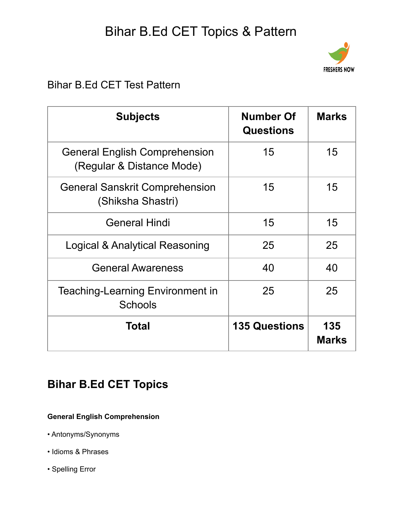# Bihar B.Ed CET Topics & Pattern



### Bihar B.Ed CET Test Pattern

| <b>Subjects</b>                                                   | <b>Number Of</b><br><b>Questions</b> | <b>Marks</b>        |
|-------------------------------------------------------------------|--------------------------------------|---------------------|
| <b>General English Comprehension</b><br>(Regular & Distance Mode) | 15                                   | 15                  |
| <b>General Sanskrit Comprehension</b><br>(Shiksha Shastri)        | 15                                   | 15                  |
| <b>General Hindi</b>                                              | 15                                   | 15                  |
| Logical & Analytical Reasoning                                    | 25                                   | 25                  |
| <b>General Awareness</b>                                          | 40                                   | 40                  |
| <b>Teaching-Learning Environment in</b><br><b>Schools</b>         | 25                                   | 25                  |
| Total                                                             | <b>135 Questions</b>                 | 135<br><b>Marks</b> |

### **Bihar B.Ed CET Topics**

#### **General English Comprehension**

- Antonyms/Synonyms
- Idioms & Phrases
- Spelling Error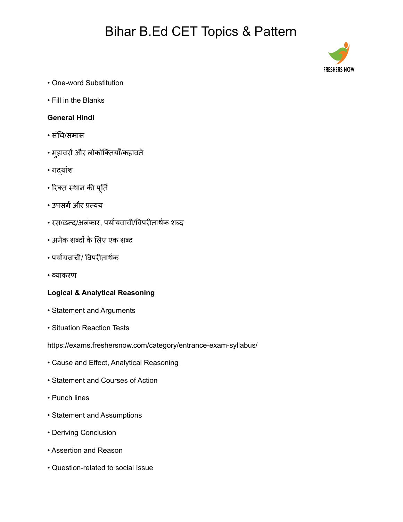## Bihar B.Ed CET Topics & Pattern



- One-word Substitution
- Fill in the Blanks

#### **General Hindi**

- सधिं धि/समास
- महुावरों और लोकोक्ति याँ/कहावतें
- गद्यांश
- रिक्त स्थान की पूर्ति
- उपसर्ग और प्रत्यय
- रस/छन्द/अलंकार, पर्यायवाची/विपरीतार्थक शब्द
- अनेक शब्दों के लिए एक शब्द
- पर्यायवाची/ विपरीतार्थक
- व्याकरण

#### **Logical & Analytical Reasoning**

- Statement and Arguments
- Situation Reaction Tests
- https://exams.freshersnow.com/category/entrance-exam-syllabus/
- Cause and Effect, Analytical Reasoning
- Statement and Courses of Action
- Punch lines
- Statement and Assumptions
- Deriving Conclusion
- Assertion and Reason
- Question-related to social Issue